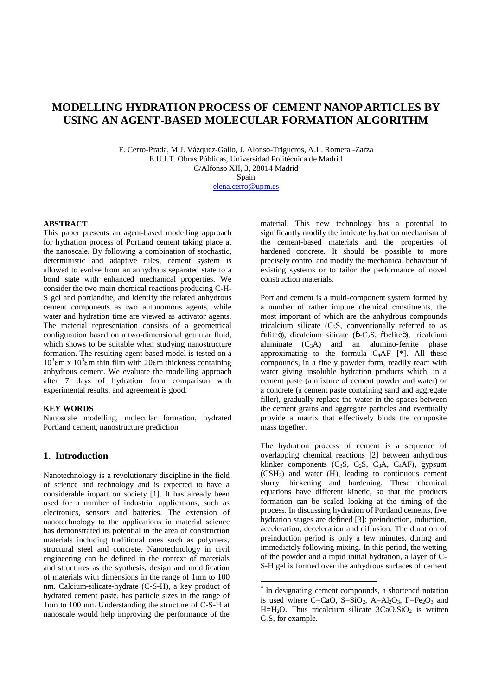# **MODELLING HYDRATION PROCESS OF CEMENT NANOP ARTICLES BY USING AN AGENT-BASED MOLECULAR FORMATION ALGORITHM**

E. Cerro-Prada, M.J. Vázquez-Gallo, J. Alonso-Trigueros, A.L. Romera -Zarza E.U.I.T. Obras Públi[cas, Universidad Polité](mailto:elena.cerro@upm.es)cnica de Madrid C/Alfonso XII, 3, 28014 Madrid Spain elena.cerro@upm.es

### **ABSTRACT**

This paper presents an agent-based modelling approach for hydration process of Portland cement taking place at the nanoscale. By following a combination of stochastic, deterministic and adaptive rules, cement system is allowed to evolve from an anhydrous separated state to a bond state with enhanced mechanical properties. We consider the two main chemical reactions producing C-H-S gel and portlandite, and identify the related anhydrous cement components as two autonomous agents, while water and hydration time are viewed as activator agents. The material representation consists of a geometrical configuration based on a two-dimensional granular fluid, which shows to be suitable when studying nanostructure formation. The resulting agent-based model is tested on a  $10<sup>3</sup>$  m x  $10<sup>3</sup>$  m thin film with 20 m thickness containing anhydrous cement. We evaluate the modelling approach after 7 days of hydration from comparison with experimental results, and agreement is good.

#### **KEY WORDS**

Nanoscale modelling, molecular formation, hydrated Portland cement, nanostructure prediction

# **1. Introduction**

Nanotechnology is a revolutionary discipline in the field of science and technology and is expected to have a considerable impact on society [1]. It has already been used for a number of industrial applications, such as electronics, sensors and batteries. The extension of nanotechnology to the applications in material science has demonstrated its potential in the area of construction materials including traditional ones such as polymers, structural steel and concrete. Nanotechnology in civil engineering can be defined in the context of materials and structures as the synthesis, design and modification of materials with dimensions in the range of 1nm to 100 nm. Calcium-silicate-hydrate (C-S-H), a key product of hydrated cement paste, has particle sizes in the range of 1nm to 100 nm. Understanding the structure of C-S-H at nanoscale would help improving the performance of the material. This new technology has a potential to significantly modify the intricate hydration mechanism of the cement-based materials and the properties of hardened concrete. It should be possible to more precisely control and modify the mechanical behaviour of existing systems or to tailor the performance of novel construction materials.

Portland cement is a multi-component system formed by a number of rather impure chemical constituents, the most important of which are the anhydrous compounds tricalcium silicate  $(C_3S,$  conventionally referred to as õaliteö), dicalcium silicate ( -C<sub>2</sub>S, õbeliteö), tricalcium aluminate  $(C_3A)$  and an alumino-ferrite phase approximating to the formula  $C_4AF$  [\*]. All these compounds, in a finely powder form, readily react with water giving insoluble hydration products which, in a cement paste (a mixture of cement powder and water) or a concrete (a cement paste containing sand and aggregate filler), gradually replace the water in the spaces between the cement grains and aggregate particles and eventually provide a matrix that effectively binds the composite mass together.

The hydration process of cement is a sequence of overlapping chemical reactions [2] between anhydrous klinker components (C<sub>3</sub>S, C<sub>2</sub>S, C<sub>3</sub>A, C<sub>4</sub>AF), gypsum (CSH2) and water (H), leading to continuous cement slurry thickening and hardening. These chemical equations have different kinetic, so that the products formation can be scaled looking at the timing of the process. In discussing hydration of Portland cements, five hydration stages are defined [3]: preinduction, induction, acceleration, deceleration and diffusion. The duration of preinduction period is only a few minutes, during and immediately following mixing. In this period, the wetting of the powder and a rapid initial hydration, a layer of C-S-H gel is formed over the anhydrous surfaces of cement

 <sup>\*</sup> In designating cement compounds, a shortened notation is used where  $C=CaO$ ,  $S=SiO_2$ ,  $A=Al_2O_3$ ,  $F=Fe_2O_3$  and H=H<sub>2</sub>O. Thus tricalcium silicate  $3CaO.SiO<sub>2</sub>$  is written C<sub>3</sub>S, for example.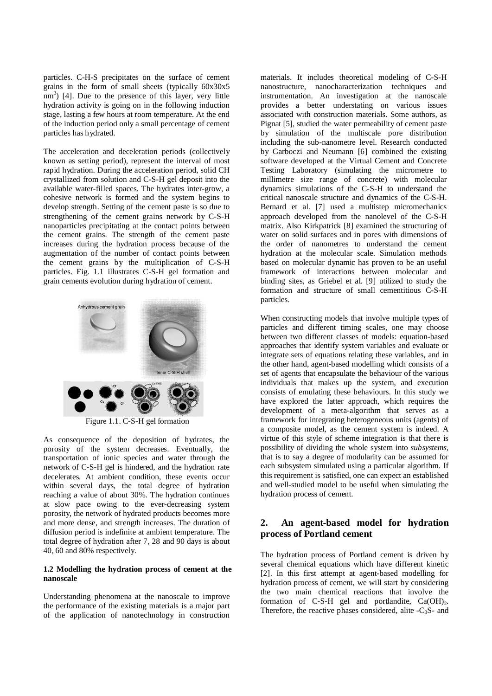particles. C-H-S precipitates on the surface of cement grains in the form of small sheets (typically 60x30x5  $\text{nm}^3$ ) [4]. Due to the presence of this layer, very little hydration activity is going on in the following induction stage, lasting a few hours at room temperature. At the end of the induction period only a small percentage of cement particles has hydrated.

The acceleration and deceleration periods (collectively known as setting period), represent the interval of most rapid hydration. During the acceleration period, solid CH crystallized from solution and C-S-H gel deposit into the available water-filled spaces. The hydrates inter-grow, a cohesive network is formed and the system begins to develop strength. Setting of the cement paste is so due to strengthening of the cement grains network by C-S-H nanoparticles precipitating at the contact points between the cement grains. The strength of the cement paste increases during the hydration process because of the augmentation of the number of contact points between the cement grains by the multiplication of C-S-H particles. Fig. 1.1 illustrates C-S-H gel formation and grain cements evolution during hydration of cement.



Figure 1.1. C-S-H gel formation

As consequence of the deposition of hydrates, the porosity of the system decreases. Eventually, the transportation of ionic species and water through the network of C-S-H gel is hindered, and the hydration rate decelerates. At ambient condition, these events occur within several days, the total degree of hydration reaching a value of about 30%. The hydration continues at slow pace owing to the ever-decreasing system porosity, the network of hydrated products becomes more and more dense, and strength increases. The duration of diffusion period is indefinite at ambient temperature. The total degree of hydration after 7, 28 and 90 days is about 40, 60 and 80% respectively.

### **1.2 Modelling the hydration process of cement at the nanoscale**

Understanding phenomena at the nanoscale to improve the performance of the existing materials is a major part of the application of nanotechnology in construction

materials. It includes theoretical modeling of C-S-H nanostructure, nanocharacterization techniques and instrumentation. An investigation at the nanoscale provides a better understating on various issues associated with construction materials. Some authors, as Pignat [5], studied the water permeability of cement paste by simulation of the multiscale pore distribution including the sub-nanometre level. Research conducted by Garboczi and Neumann [6] combined the existing software developed at the Virtual Cement and Concrete Testing Laboratory (simulating the micrometre to millimetre size range of concrete) with molecular dynamics simulations of the C-S-H to understand the critical nanoscale structure and dynamics of the C-S-H. Bernard et al. [7] used a multistep micromechanics approach developed from the nanolevel of the C-S-H matrix. Also Kirkpatrick [8] examined the structuring of water on solid surfaces and in pores with dimensions of the order of nanometres to understand the cement hydration at the molecular scale. Simulation methods based on molecular dynamic has proven to be an useful framework of interactions between molecular and binding sites, as Griebel et al. [9] utilized to study the formation and structure of small cementitious C-S-H particles.

When constructing models that involve multiple types of particles and different timing scales, one may choose between two different classes of models: equation-based approaches that identify system variables and evaluate or integrate sets of equations relating these variables, and in the other hand, agent-based modelling which consists of a set of agents that encapsulate the behaviour of the various individuals that makes up the system, and execution consists of emulating these behaviours. In this study we have explored the latter approach, which requires the development of a meta-algorithm that serves as a framework for integrating heterogeneous units (agents) of a composite model, as the cement system is indeed. A virtue of this style of scheme integration is that there is possibility of dividing the whole system into *subsystems*, that is to say a degree of modularity can be assumed for each subsystem simulated using a particular algorithm. If this requirement is satisfied, one can expect an established and well-studied model to be useful when simulating the hydration process of cement.

# **2. An agent-based model for hydration process of Portland cement**

The hydration process of Portland cement is driven by several chemical equations which have different kinetic [2]. In this first attempt at agent-based modelling for hydration process of cement, we will start by considering the two main chemical reactions that involve the formation of  $C$ -S-H gel and portlandite,  $Ca(OH)_2$ . Therefore, the reactive phases considered, alite  $-C_3S$ - and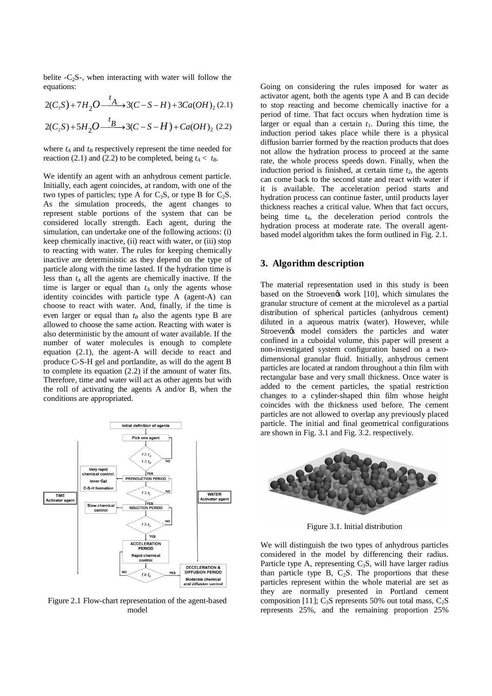belite  $-C_2S$ -, when interacting with water will follow the equations:

$$
2(C_3S) + 7H_2O \xrightarrow{t_A} 3(C-S-H) + 3Ca(OH)_2(2.1)
$$
  

$$
2(C_2S) + 5H_2O \xrightarrow{t_B} 3(C-S-H) + Ca(OH)_2(2.2)
$$

where  $t_A$  and  $t_B$  respectively represent the time needed for reaction (2.1) and (2.2) to be completed, being  $t_A < t_B$ .

We identify an agent with an anhydrous cement particle. Initially, each agent coincides, at random, with one of the two types of particles; type A for  $C_3S$ , or type B for  $C_2S$ . As the simulation proceeds, the agent changes to represent stable portions of the system that can be considered locally strength. Each agent, during the simulation, can undertake one of the following actions: (i) keep chemically inactive, (ii) react with water, or (iii) stop to reacting with water. The rules for keeping chemically inactive are deterministic as they depend on the type of particle along with the time lasted. If the hydration time is less than  $t_A$  all the agents are chemically inactive. If the time is larger or equal than  $t_A$  only the agents whose identity coincides with particle type A (agent-A) can choose to react with water. And, finally, if the time is even larger or equal than  $t_B$  also the agents type B are allowed to choose the same action. Reacting with water is also deterministic by the amount of water available. If the number of water molecules is enough to complete equation (2.1), the agent-A will decide to react and produce C-S-H gel and portlandite, as will do the agent B to complete its equation (2.2) if the amount of water fits. Therefore, time and water will act as other agents but with the roll of activating the agents A and/or B, when the conditions are appropriated.



Figure 2.1 Flow-chart representation of the agent-based model

Going on considering the rules imposed for water as activator agent, both the agents type A and B can decide to stop reacting and become chemically inactive for a period of time. That fact occurs when hydration time is larger or equal than a certain  $t_1$ . During this time, the induction period takes place while there is a physical diffusion barrier formed by the reaction products that does not allow the hydration process to proceed at the same rate, the whole process speeds down. Finally, when the induction period is finished, at certain time  $t<sub>2</sub>$ , the agents can come back to the second state and react with water if it is available. The acceleration period starts and hydration process can continue faster, until products layer thickness reaches a critical value. When that fact occurs, being time  $t_4$ , the deceleration period controls the hydration process at moderate rate. The overall agentbased model algorithm takes the form outlined in Fig. 2.1.

### **3. Algorithm description**

The material representation used in this study is been based on the Stroeven $\alpha$  work [10], which simulates the granular structure of cement at the microlevel as a partial distribution of spherical particles (anhydrous cement) diluted in a aqueous matrix (water). However, while Stroeven $\alpha$  model considers the particles and water confined in a cuboidal volume, this paper will present a non-investigated system configuration based on a twodimensional granular fluid. Initially, anhydrous cement particles are located at random throughout a thin film with rectangular base and very small thickness. Once water is added to the cement particles, the spatial restriction changes to a cylinder-shaped thin film whose height coincides with the thickness used before. The cement particles are not allowed to overlap any previously placed particle. The initial and final geometrical configurations are shown in Fig. 3.1 and Fig. 3.2. respectively.



Figure 3.1. Initial distribution

We will distinguish the two types of anhydrous particles considered in the model by differencing their radius. Particle type A, representing  $C_3S$ , will have larger radius than particle type B,  $C_2S$ . The proportions that these particles represent within the whole material are set as they are normally presented in Portland cement composition [11];  $C_3S$  represents 50% out total mass,  $C_2S$ represents 25%, and the remaining proportion 25%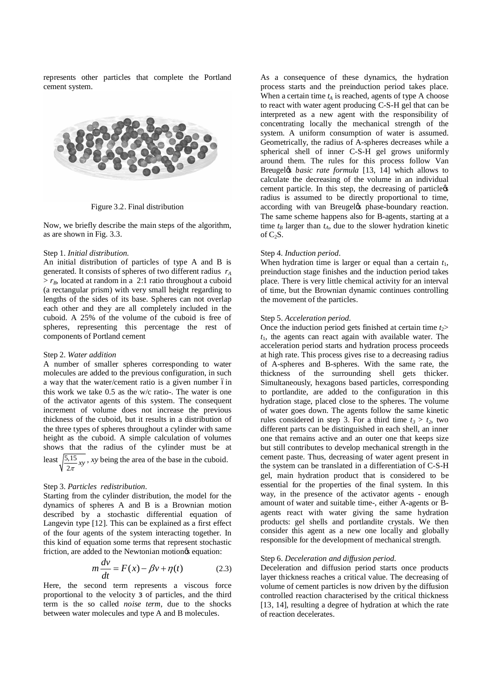represents other particles that complete the Portland cement system.



Figure 3.2. Final distribution

Now, we briefly describe the main steps of the algorithm, as are shown in Fig. 3.3.

#### Step 1. *Initial distribution.*

An initial distribution of particles of type A and B is generated. It consists of spheres of two different radius *rA*  $> r_B$ , located at random in a 2:1 ratio throughout a cuboid (a rectangular prism) with very small height regarding to lengths of the sides of its base. Spheres can not overlap each other and they are all completely included in the cuboid. A 25% of the volume of the cuboid is free of spheres, representing this percentage the rest of components of Portland cement

#### Step 2. *Water addition*

A number of smaller spheres corresponding to water molecules are added to the previous configuration, in such a way that the water/cement ratio is a given number 6in this work we take 0.5 as the w/c ratio-. The water is one of the activator agents of this system. The consequent increment of volume does not increase the previous thickness of the cuboid, but it results in a distribution of the three types of spheres throughout a cylinder with same height as the cuboid. A simple calculation of volumes shows that the radius of the cylinder must be at least  $\sqrt{\frac{5.15}{2\pi}} xy$ , *xy* being the area of the base in the cuboid.

#### Step 3. *Particles redistribution.*

Starting from the cylinder distribution, the model for the dynamics of spheres A and B is a Brownian motion described by a stochastic differential equation of Langevin type [12]. This can be explained as a first effect of the four agents of the system interacting together. In this kind of equation some terms that represent stochastic friction, are added to the Newtonian motions equation:

$$
m\frac{dv}{dt} = F(x) - \beta v + \eta(t)
$$
 (2.3)

Here, the second term represents a viscous force proportional to the velocity of particles, and the third term is the so called *noise term*, due to the shocks between water molecules and type A and B molecules.

As a consequence of these dynamics, the hydration process starts and the preinduction period takes place. When a certain time  $t_A$  is reached, agents of type A choose to react with water agent producing C-S-H gel that can be interpreted as a new agent with the responsibility of concentrating locally the mechanical strength of the system. A uniform consumption of water is assumed. Geometrically, the radius of A-spheres decreases while a spherical shell of inner C-S-H gel grows uniformly around them. The rules for this process follow Van Breugel*øs basic rate formula* [13, 14] which allows to calculate the decreasing of the volume in an individual cement particle. In this step, the decreasing of particle $\alpha$ radius is assumed to be directly proportional to time, according with van Breugeløs phase-boundary reaction. The same scheme happens also for B-agents, starting at a time  $t_B$  larger than  $t_A$ , due to the slower hydration kinetic of  $C_2S$ .

#### Step 4. *Induction period.*

When hydration time is larger or equal than a certain  $t_1$ , preinduction stage finishes and the induction period takes place. There is very little chemical activity for an interval of time, but the Brownian dynamic continues controlling the movement of the particles.

### Step 5. *Acceleration period.*

Once the induction period gets finished at certain time  $t_2$ > *t*1, the agents can react again with available water. The acceleration period starts and hydration process proceeds at high rate. This process gives rise to a decreasing radius of A-spheres and B-spheres. With the same rate, the thickness of the surrounding shell gets thicker. Simultaneously, hexagons based particles, corresponding to portlandite, are added to the configuration in this hydration stage, placed close to the spheres. The volume of water goes down. The agents follow the same kinetic rules considered in step 3. For a third time  $t_3 > t_2$ , two different parts can be distinguished in each shell, an inner one that remains active and an outer one that keeps size but still contributes to develop mechanical strength in the cement paste. Thus, decreasing of water agent present in the system can be translated in a differentiation of C-S-H gel, main hydration product that is considered to be essential for the properties of the final system. In this way, in the presence of the activator agents - enough amount of water and suitable time-, either A-agents or Bagents react with water giving the same hydration products: gel shells and portlandite crystals. We then consider this agent as a new one locally and globally responsible for the development of mechanical strength.

#### Step 6. *Deceleration and diffusion period.*

Deceleration and diffusion period starts once products layer thickness reaches a critical value. The decreasing of volume of cement particles is now driven by the diffusion controlled reaction characterised by the critical thickness [13, 14], resulting a degree of hydration at which the rate of reaction decelerates.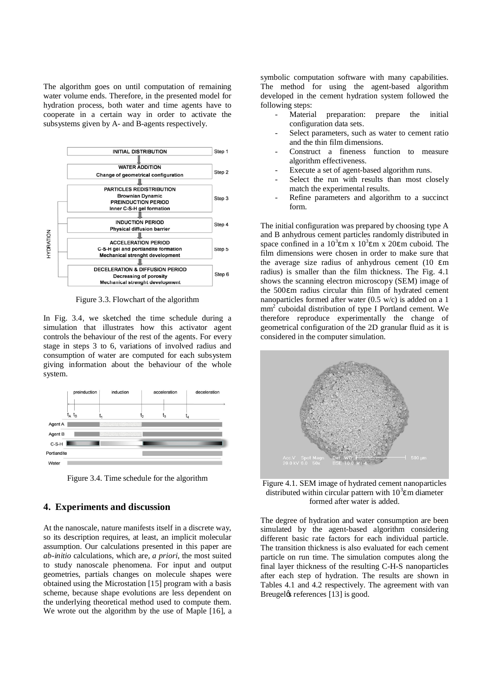The algorithm goes on until computation of remaining water volume ends. Therefore, in the presented model for hydration process, both water and time agents have to cooperate in a certain way in order to activate the subsystems given by A- and B-agents respectively.



Figure 3.3. Flowchart of the algorithm

In Fig. 3.4, we sketched the time schedule during a simulation that illustrates how this activator agent controls the behaviour of the rest of the agents. For every stage in steps 3 to 6, variations of involved radius and consumption of water are computed for each subsystem giving information about the behaviour of the whole system.

| preinduction | induction | acceleration | deceleration |  |
|--------------|-----------|--------------|--------------|--|
|              |           |              |              |  |

Figure 3.4. Time schedule for the algorithm

## **4. Experiments and discussion**

At the nanoscale, nature manifests itself in a discrete way, so its description requires, at least, an implicit molecular assumption. Our calculations presented in this paper are *ab-initio* calculations, which are, *a priori*, the most suited to study nanoscale phenomena. For input and output geometries, partials changes on molecule shapes were obtained using the Microstation [15] program with a basis scheme, because shape evolutions are less dependent on the underlying theoretical method used to compute them. We wrote out the algorithm by the use of Maple [16], a

symbolic computation software with many capabilities. The method for using the agent-based algorithm developed in the cement hydration system followed the following steps:

- Material preparation: prepare the initial configuration data sets.
- Select parameters, such as water to cement ratio and the thin film dimensions.
- Construct a fineness function to measure algorithm effectiveness.
- Execute a set of agent-based algorithm runs.
- Select the run with results than most closely match the experimental results.
- Refine parameters and algorithm to a succinct form.

The initial configuration was prepared by choosing type A and B anhydrous cement particles randomly distributed in space confined in a  $10^3$  m x  $10^3$  m x 20 m cuboid. The film dimensions were chosen in order to make sure that the average size radius of anhydrous cement (10 m radius) is smaller than the film thickness. The Fig. 4.1 shows the scanning electron microscopy (SEM) image of the 500 m radius circular thin film of hydrated cement nanoparticles formed after water (0.5 w/c) is added on a 1 mm2 cuboidal distribution of type I Portland cement. We therefore reproduce experimentally the change of geometrical configuration of the 2D granular fluid as it is considered in the computer simulation.



Figure 4.1. SEM image of hydrated cement nanoparticles distributed within circular pattern with  $10<sup>3</sup>$  m diameter formed after water is added.

The degree of hydration and water consumption are been simulated by the agent-based algorithm considering different basic rate factors for each individual particle. The transition thickness is also evaluated for each cement particle on run time. The simulation computes along the final layer thickness of the resulting C-H-S nanoparticles after each step of hydration. The results are shown in Tables 4.1 and 4.2 respectively. The agreement with van Breugel& references [13] is good.